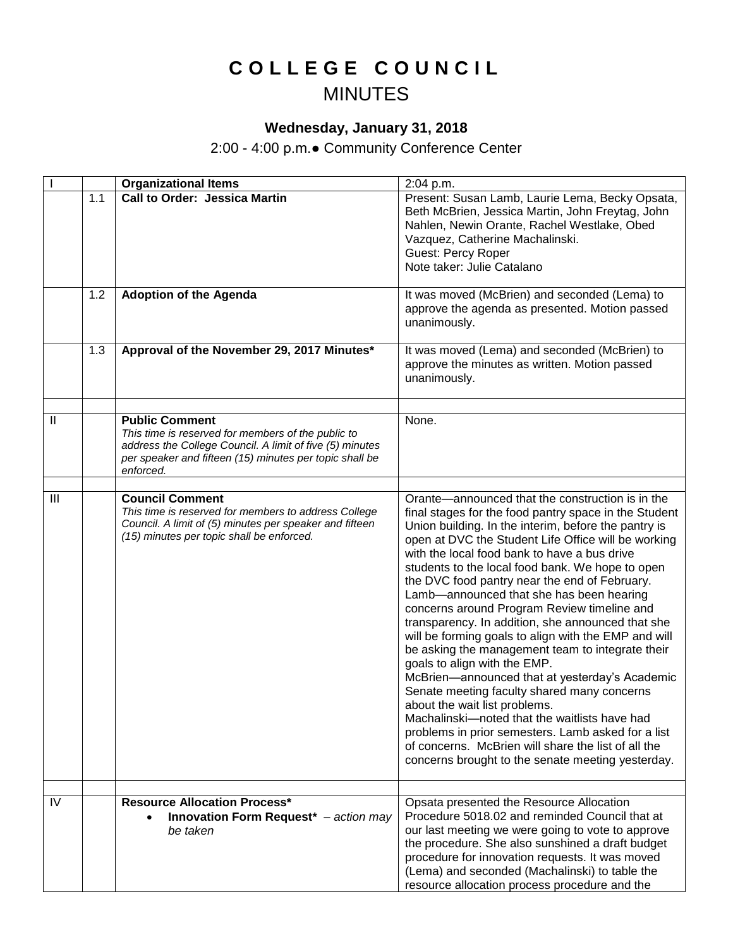## **C O L L E G E C O U N C I L** MINUTES

## **Wednesday, January 31, 2018**

2:00 - 4:00 p.m.● Community Conference Center

|                |     | <b>Organizational Items</b>                                                                                                                                                                                     | 2:04 p.m.                                                                                                                                                                                                                                                                                                                                                                                                                                                                                                                                                                                                                                                                                                                                                                                                                                                                                                                                                                                                                      |
|----------------|-----|-----------------------------------------------------------------------------------------------------------------------------------------------------------------------------------------------------------------|--------------------------------------------------------------------------------------------------------------------------------------------------------------------------------------------------------------------------------------------------------------------------------------------------------------------------------------------------------------------------------------------------------------------------------------------------------------------------------------------------------------------------------------------------------------------------------------------------------------------------------------------------------------------------------------------------------------------------------------------------------------------------------------------------------------------------------------------------------------------------------------------------------------------------------------------------------------------------------------------------------------------------------|
|                | 1.1 | <b>Call to Order: Jessica Martin</b>                                                                                                                                                                            | Present: Susan Lamb, Laurie Lema, Becky Opsata,<br>Beth McBrien, Jessica Martin, John Freytag, John<br>Nahlen, Newin Orante, Rachel Westlake, Obed<br>Vazquez, Catherine Machalinski.<br><b>Guest: Percy Roper</b><br>Note taker: Julie Catalano                                                                                                                                                                                                                                                                                                                                                                                                                                                                                                                                                                                                                                                                                                                                                                               |
|                | 1.2 | <b>Adoption of the Agenda</b>                                                                                                                                                                                   | It was moved (McBrien) and seconded (Lema) to<br>approve the agenda as presented. Motion passed<br>unanimously.                                                                                                                                                                                                                                                                                                                                                                                                                                                                                                                                                                                                                                                                                                                                                                                                                                                                                                                |
|                | 1.3 | Approval of the November 29, 2017 Minutes*                                                                                                                                                                      | It was moved (Lema) and seconded (McBrien) to<br>approve the minutes as written. Motion passed<br>unanimously.                                                                                                                                                                                                                                                                                                                                                                                                                                                                                                                                                                                                                                                                                                                                                                                                                                                                                                                 |
|                |     |                                                                                                                                                                                                                 |                                                                                                                                                                                                                                                                                                                                                                                                                                                                                                                                                                                                                                                                                                                                                                                                                                                                                                                                                                                                                                |
| $\mathbf{II}$  |     | <b>Public Comment</b><br>This time is reserved for members of the public to<br>address the College Council. A limit of five (5) minutes<br>per speaker and fifteen (15) minutes per topic shall be<br>enforced. | None.                                                                                                                                                                                                                                                                                                                                                                                                                                                                                                                                                                                                                                                                                                                                                                                                                                                                                                                                                                                                                          |
|                |     |                                                                                                                                                                                                                 |                                                                                                                                                                                                                                                                                                                                                                                                                                                                                                                                                                                                                                                                                                                                                                                                                                                                                                                                                                                                                                |
| $\mathbf{III}$ |     | <b>Council Comment</b><br>This time is reserved for members to address College<br>Council. A limit of (5) minutes per speaker and fifteen<br>(15) minutes per topic shall be enforced.                          | Orante—announced that the construction is in the<br>final stages for the food pantry space in the Student<br>Union building. In the interim, before the pantry is<br>open at DVC the Student Life Office will be working<br>with the local food bank to have a bus drive<br>students to the local food bank. We hope to open<br>the DVC food pantry near the end of February.<br>Lamb-announced that she has been hearing<br>concerns around Program Review timeline and<br>transparency. In addition, she announced that she<br>will be forming goals to align with the EMP and will<br>be asking the management team to integrate their<br>goals to align with the EMP.<br>McBrien-announced that at yesterday's Academic<br>Senate meeting faculty shared many concerns<br>about the wait list problems.<br>Machalinski-noted that the waitlists have had<br>problems in prior semesters. Lamb asked for a list<br>of concerns. McBrien will share the list of all the<br>concerns brought to the senate meeting yesterday. |
| IV             |     | <b>Resource Allocation Process*</b><br>Innovation Form Request* - action may<br>be taken                                                                                                                        | Opsata presented the Resource Allocation<br>Procedure 5018.02 and reminded Council that at<br>our last meeting we were going to vote to approve<br>the procedure. She also sunshined a draft budget<br>procedure for innovation requests. It was moved<br>(Lema) and seconded (Machalinski) to table the<br>resource allocation process procedure and the                                                                                                                                                                                                                                                                                                                                                                                                                                                                                                                                                                                                                                                                      |